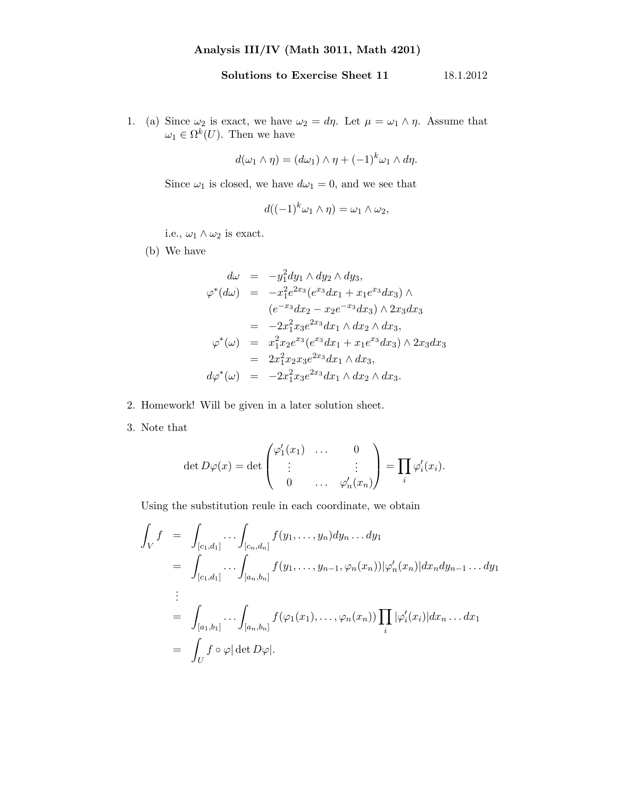Solutions to Exercise Sheet 11 18.1.2012

1. (a) Since  $\omega_2$  is exact, we have  $\omega_2 = d\eta$ . Let  $\mu = \omega_1 \wedge \eta$ . Assume that  $\omega_1 \in \Omega^k(U)$ . Then we have

$$
d(\omega_1 \wedge \eta) = (d\omega_1) \wedge \eta + (-1)^k \omega_1 \wedge d\eta.
$$

Since  $\omega_1$  is closed, we have  $d\omega_1 = 0$ , and we see that

$$
d((-1)^{k}\omega_1 \wedge \eta) = \omega_1 \wedge \omega_2,
$$

i.e.,  $\omega_1 \wedge \omega_2$  is exact.

(b) We have

$$
d\omega = -y_1^2 dy_1 \wedge dy_2 \wedge dy_3,
$$
  
\n
$$
\varphi^*(d\omega) = -x_1^2 e^{2x_3} (e^{x_3} dx_1 + x_1 e^{x_3} dx_3) \wedge
$$
  
\n
$$
(e^{-x_3} dx_2 - x_2 e^{-x_3} dx_3) \wedge 2x_3 dx_3
$$
  
\n
$$
= -2x_1^2 x_3 e^{2x_3} dx_1 \wedge dx_2 \wedge dx_3,
$$
  
\n
$$
\varphi^*(\omega) = x_1^2 x_2 e^{x_3} (e^{x_3} dx_1 + x_1 e^{x_3} dx_3) \wedge 2x_3 dx_3
$$
  
\n
$$
= 2x_1^2 x_2 x_3 e^{2x_3} dx_1 \wedge dx_3,
$$
  
\n
$$
d\varphi^*(\omega) = -2x_1^2 x_3 e^{2x_3} dx_1 \wedge dx_2 \wedge dx_3.
$$

- 2. Homework! Will be given in a later solution sheet.
- 3. Note that

$$
\det D\varphi(x) = \det \begin{pmatrix} \varphi_1'(x_1) & \dots & 0 \\ \vdots & & \vdots \\ 0 & \dots & \varphi_n'(x_n) \end{pmatrix} = \prod_i \varphi_i'(x_i).
$$

Using the substitution reule in each coordinate, we obtain

$$
\int_{V} f = \int_{[c_1,d_1]} \cdots \int_{[c_n,d_n]} f(y_1,\ldots,y_n) dy_n \ldots dy_1
$$
\n
$$
= \int_{[c_1,d_1]} \cdots \int_{[a_n,b_n]} f(y_1,\ldots,y_{n-1},\varphi_n(x_n)) |\varphi'_n(x_n)| dx_n dy_{n-1} \ldots dy_1
$$
\n
$$
\vdots
$$
\n
$$
= \int_{[a_1,b_1]} \cdots \int_{[a_n,b_n]} f(\varphi_1(x_1),\ldots,\varphi_n(x_n)) \prod_i |\varphi'_i(x_i)| dx_n \ldots dx_1
$$
\n
$$
= \int_{U} f \circ \varphi |\det D\varphi|.
$$